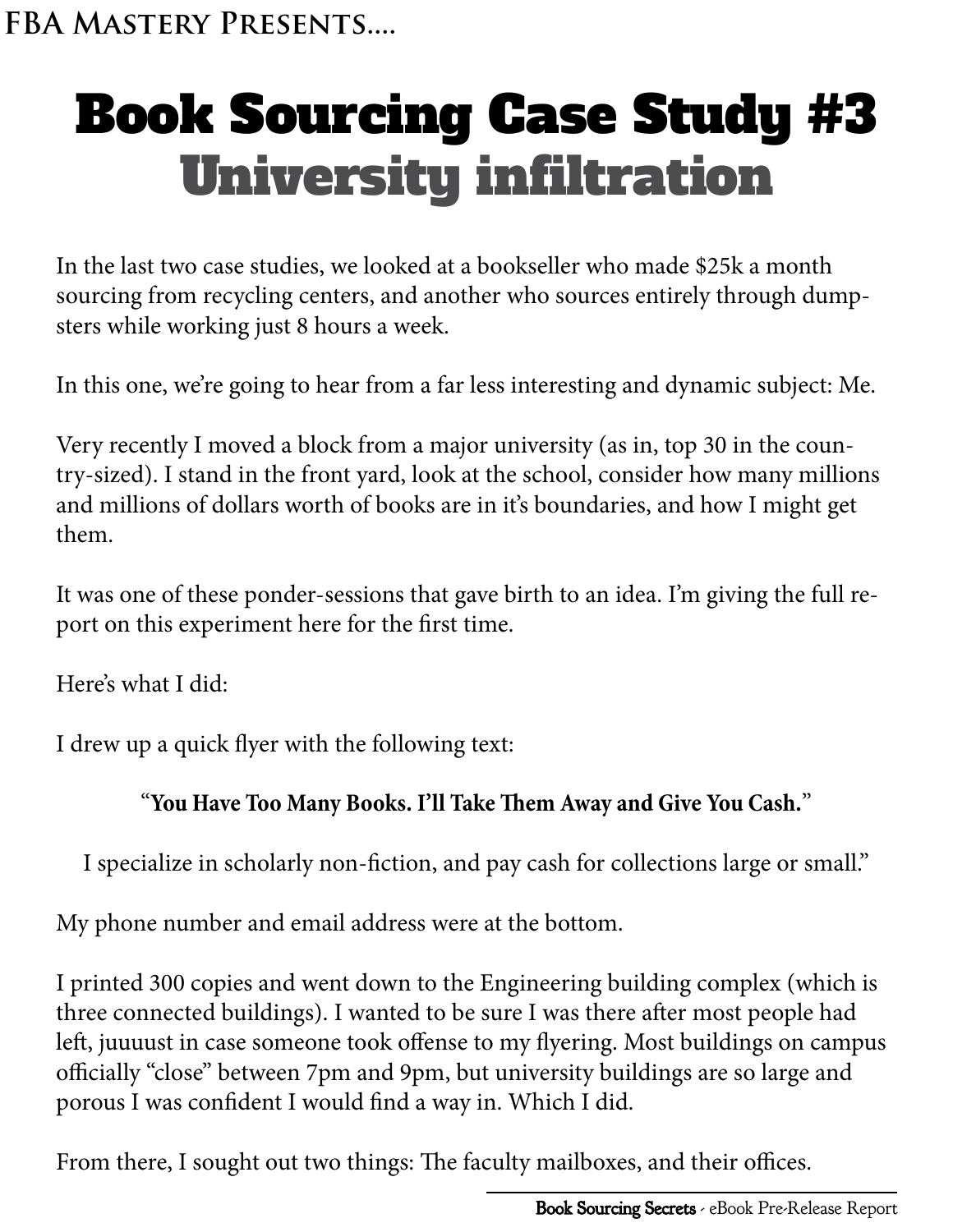## Book Sourcing Case Study #3 University infiltration

In the last two case studies, we looked at a bookseller who made \$25k a month sourcing from recycling centers, and another who sources entirely through dumpsters while working just 8 hours a week.

In this one, we're going to hear from a far less interesting and dynamic subject: Me.

Very recently I moved a block from a major university (as in, top 30 in the country-sized). I stand in the front yard, look at the school, consider how many millions and millions of dollars worth of books are in it's boundaries, and how I might get them.

It was one of these ponder-sessions that gave birth to an idea. I'm giving the full report on this experiment here for the first time.

Here's what I did:

I drew up a quick flyer with the following text:

## "**You Have Too Many Books. I'll Take Them Away and Give You Cash.**"

I specialize in scholarly non-fiction, and pay cash for collections large or small."

My phone number and email address were at the bottom.

I printed 300 copies and went down to the Engineering building complex (which is three connected buildings). I wanted to be sure I was there after most people had left, juuuust in case someone took offense to my flyering. Most buildings on campus officially "close" between 7pm and 9pm, but university buildings are so large and porous I was confident I would find a way in. Which I did.

From there, I sought out two things: The faculty mailboxes, and their offices.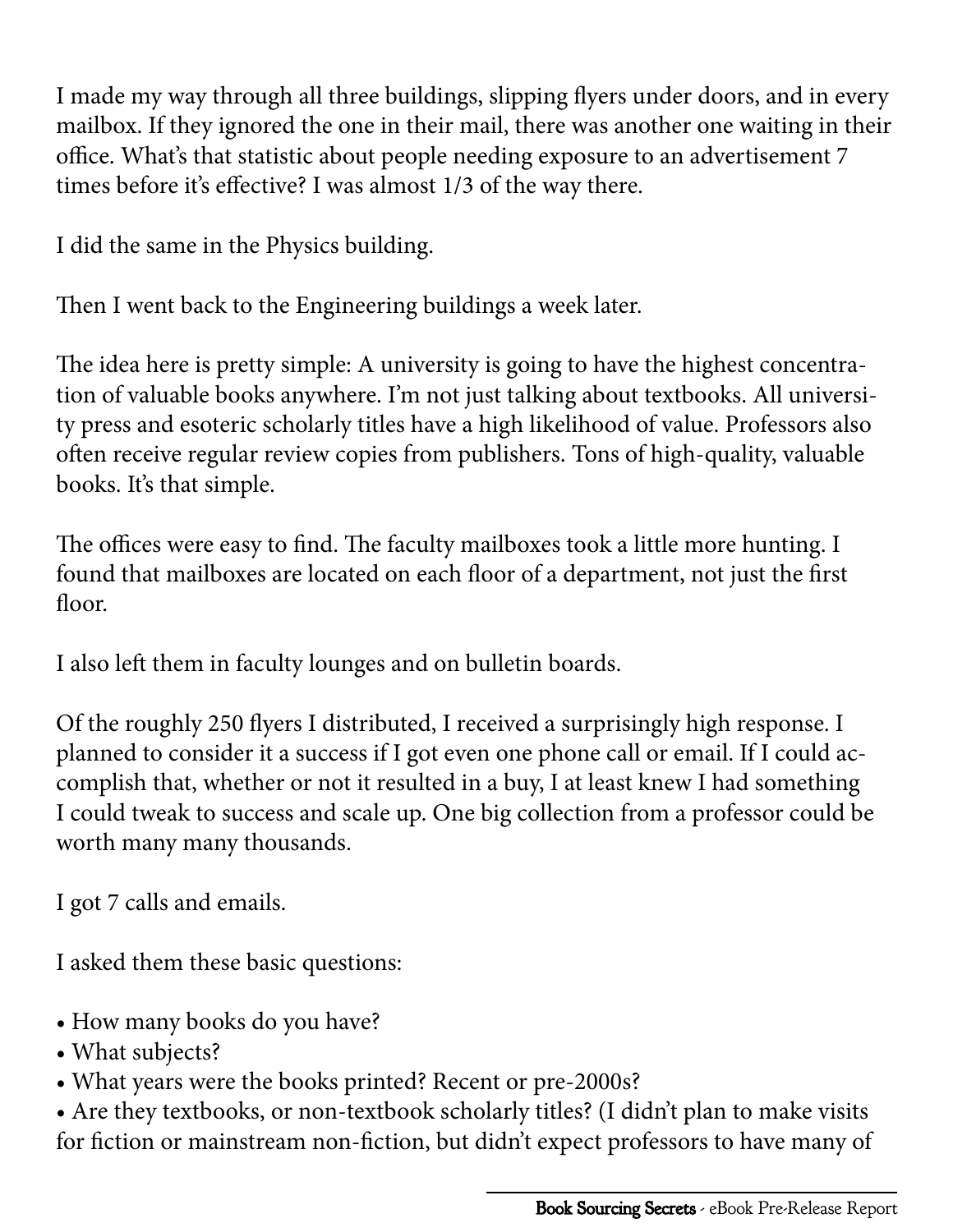I made my way through all three buildings, slipping flyers under doors, and in every mailbox. If they ignored the one in their mail, there was another one waiting in their office. What's that statistic about people needing exposure to an advertisement 7 times before it's effective? I was almost 1/3 of the way there.

I did the same in the Physics building.

Then I went back to the Engineering buildings a week later.

The idea here is pretty simple: A university is going to have the highest concentration of valuable books anywhere. I'm not just talking about textbooks. All university press and esoteric scholarly titles have a high likelihood of value. Professors also often receive regular review copies from publishers. Tons of high-quality, valuable books. It's that simple.

The offices were easy to find. The faculty mailboxes took a little more hunting. I found that mailboxes are located on each floor of a department, not just the first floor.

I also left them in faculty lounges and on bulletin boards.

Of the roughly 250 flyers I distributed, I received a surprisingly high response. I planned to consider it a success if I got even one phone call or email. If I could accomplish that, whether or not it resulted in a buy, I at least knew I had something I could tweak to success and scale up. One big collection from a professor could be worth many many thousands.

I got 7 calls and emails.

I asked them these basic questions:

- How many books do you have?
- What subjects?
- What years were the books printed? Recent or pre-2000s?

• Are they textbooks, or non-textbook scholarly titles? (I didn't plan to make visits for fiction or mainstream non-fiction, but didn't expect professors to have many of